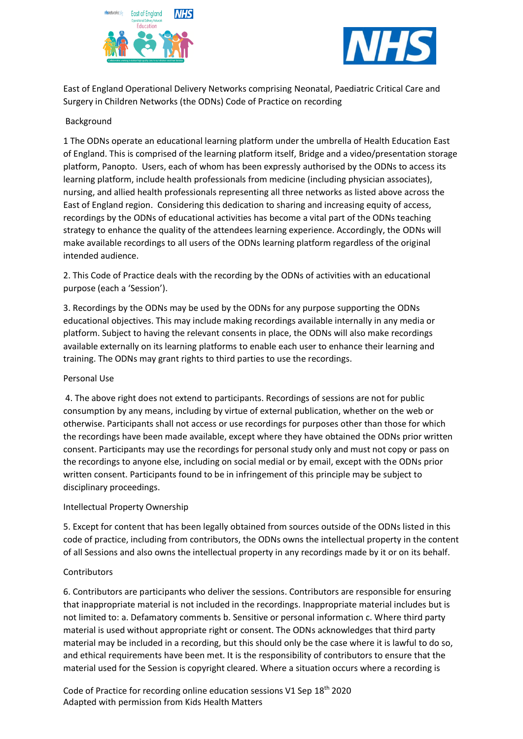



East of England Operational Delivery Networks comprising Neonatal, Paediatric Critical Care and Surgery in Children Networks (the ODNs) Code of Practice on recording

### Background

1 The ODNs operate an educational learning platform under the umbrella of Health Education East of England. This is comprised of the learning platform itself, Bridge and a video/presentation storage platform, Panopto. Users, each of whom has been expressly authorised by the ODNs to access its learning platform, include health professionals from medicine (including physician associates), nursing, and allied health professionals representing all three networks as listed above across the East of England region. Considering this dedication to sharing and increasing equity of access, recordings by the ODNs of educational activities has become a vital part of the ODNs teaching strategy to enhance the quality of the attendees learning experience. Accordingly, the ODNs will make available recordings to all users of the ODNs learning platform regardless of the original intended audience.

2. This Code of Practice deals with the recording by the ODNs of activities with an educational purpose (each a 'Session').

3. Recordings by the ODNs may be used by the ODNs for any purpose supporting the ODNs educational objectives. This may include making recordings available internally in any media or platform. Subject to having the relevant consents in place, the ODNs will also make recordings available externally on its learning platforms to enable each user to enhance their learning and training. The ODNs may grant rights to third parties to use the recordings.

#### Personal Use

4. The above right does not extend to participants. Recordings of sessions are not for public consumption by any means, including by virtue of external publication, whether on the web or otherwise. Participants shall not access or use recordings for purposes other than those for which the recordings have been made available, except where they have obtained the ODNs prior written consent. Participants may use the recordings for personal study only and must not copy or pass on the recordings to anyone else, including on social medial or by email, except with the ODNs prior written consent. Participants found to be in infringement of this principle may be subject to disciplinary proceedings.

#### Intellectual Property Ownership

5. Except for content that has been legally obtained from sources outside of the ODNs listed in this code of practice, including from contributors, the ODNs owns the intellectual property in the content of all Sessions and also owns the intellectual property in any recordings made by it or on its behalf.

#### **Contributors**

6. Contributors are participants who deliver the sessions. Contributors are responsible for ensuring that inappropriate material is not included in the recordings. Inappropriate material includes but is not limited to: a. Defamatory comments b. Sensitive or personal information c. Where third party material is used without appropriate right or consent. The ODNs acknowledges that third party material may be included in a recording, but this should only be the case where it is lawful to do so, and ethical requirements have been met. It is the responsibility of contributors to ensure that the material used for the Session is copyright cleared. Where a situation occurs where a recording is

Code of Practice for recording online education sessions V1 Sep 18th 2020 Adapted with permission from Kids Health Matters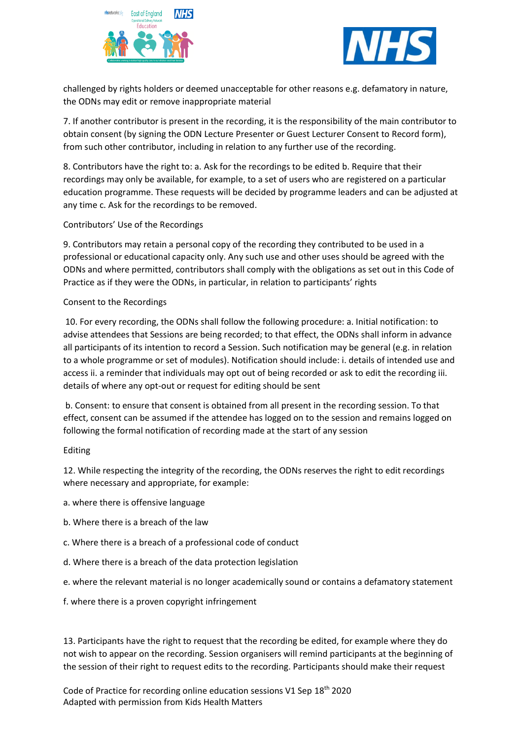



challenged by rights holders or deemed unacceptable for other reasons e.g. defamatory in nature, the ODNs may edit or remove inappropriate material

7. If another contributor is present in the recording, it is the responsibility of the main contributor to obtain consent (by signing the ODN Lecture Presenter or Guest Lecturer Consent to Record form), from such other contributor, including in relation to any further use of the recording.

8. Contributors have the right to: a. Ask for the recordings to be edited b. Require that their recordings may only be available, for example, to a set of users who are registered on a particular education programme. These requests will be decided by programme leaders and can be adjusted at any time c. Ask for the recordings to be removed.

Contributors' Use of the Recordings

9. Contributors may retain a personal copy of the recording they contributed to be used in a professional or educational capacity only. Any such use and other uses should be agreed with the ODNs and where permitted, contributors shall comply with the obligations as set out in this Code of Practice as if they were the ODNs, in particular, in relation to participants' rights

Consent to the Recordings

10. For every recording, the ODNs shall follow the following procedure: a. Initial notification: to advise attendees that Sessions are being recorded; to that effect, the ODNs shall inform in advance all participants of its intention to record a Session. Such notification may be general (e.g. in relation to a whole programme or set of modules). Notification should include: i. details of intended use and access ii. a reminder that individuals may opt out of being recorded or ask to edit the recording iii. details of where any opt-out or request for editing should be sent

b. Consent: to ensure that consent is obtained from all present in the recording session. To that effect, consent can be assumed if the attendee has logged on to the session and remains logged on following the formal notification of recording made at the start of any session

# Editing

12. While respecting the integrity of the recording, the ODNs reserves the right to edit recordings where necessary and appropriate, for example:

- a. where there is offensive language
- b. Where there is a breach of the law
- c. Where there is a breach of a professional code of conduct
- d. Where there is a breach of the data protection legislation
- e. where the relevant material is no longer academically sound or contains a defamatory statement
- f. where there is a proven copyright infringement

13. Participants have the right to request that the recording be edited, for example where they do not wish to appear on the recording. Session organisers will remind participants at the beginning of the session of their right to request edits to the recording. Participants should make their request

Code of Practice for recording online education sessions V1 Sep 18th 2020 Adapted with permission from Kids Health Matters